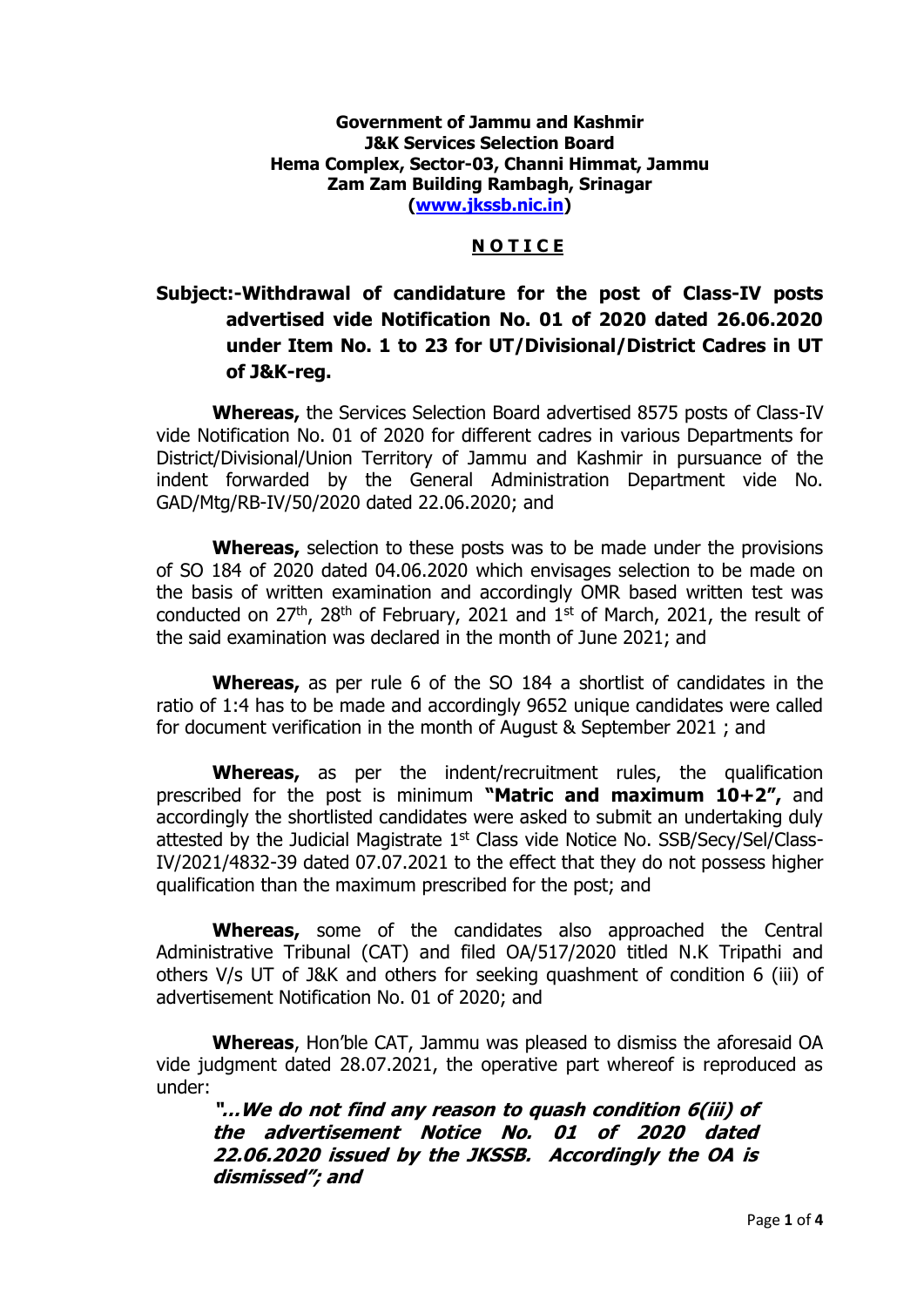## **Government of Jammu and Kashmir J&K Services Selection Board Hema Complex, Sector-03, Channi Himmat, Jammu Zam Zam Building Rambagh, Srinagar [\(www.jkssb.nic.in\)](http://www.jkssb.nic.in/)**

## **N O T I C E**

## **Subject:-Withdrawal of candidature for the post of Class-IV posts advertised vide Notification No. 01 of 2020 dated 26.06.2020 under Item No. 1 to 23 for UT/Divisional/District Cadres in UT of J&K-reg.**

**Whereas,** the Services Selection Board advertised 8575 posts of Class-IV vide Notification No. 01 of 2020 for different cadres in various Departments for District/Divisional/Union Territory of Jammu and Kashmir in pursuance of the indent forwarded by the General Administration Department vide No. GAD/Mtg/RB-IV/50/2020 dated 22.06.2020; and

**Whereas,** selection to these posts was to be made under the provisions of SO 184 of 2020 dated 04.06.2020 which envisages selection to be made on the basis of written examination and accordingly OMR based written test was conducted on  $27<sup>th</sup>$ ,  $28<sup>th</sup>$  of February, 2021 and  $1<sup>st</sup>$  of March, 2021, the result of the said examination was declared in the month of June 2021; and

**Whereas,** as per rule 6 of the SO 184 a shortlist of candidates in the ratio of 1:4 has to be made and accordingly 9652 unique candidates were called for document verification in the month of August & September 2021 ; and

**Whereas,** as per the indent/recruitment rules, the qualification prescribed for the post is minimum **"Matric and maximum 10+2",** and accordingly the shortlisted candidates were asked to submit an undertaking duly attested by the Judicial Magistrate 1st Class vide Notice No. SSB/Secy/Sel/Class-IV/2021/4832-39 dated 07.07.2021 to the effect that they do not possess higher qualification than the maximum prescribed for the post; and

**Whereas,** some of the candidates also approached the Central Administrative Tribunal (CAT) and filed OA/517/2020 titled N.K Tripathi and others V/s UT of J&K and others for seeking quashment of condition 6 (iii) of advertisement Notification No. 01 of 2020; and

**Whereas**, Hon'ble CAT, Jammu was pleased to dismiss the aforesaid OA vide judgment dated 28.07.2021, the operative part whereof is reproduced as under:

**"…We do not find any reason to quash condition 6(iii) of the advertisement Notice No. 01 of 2020 dated 22.06.2020 issued by the JKSSB. Accordingly the OA is dismissed"; and**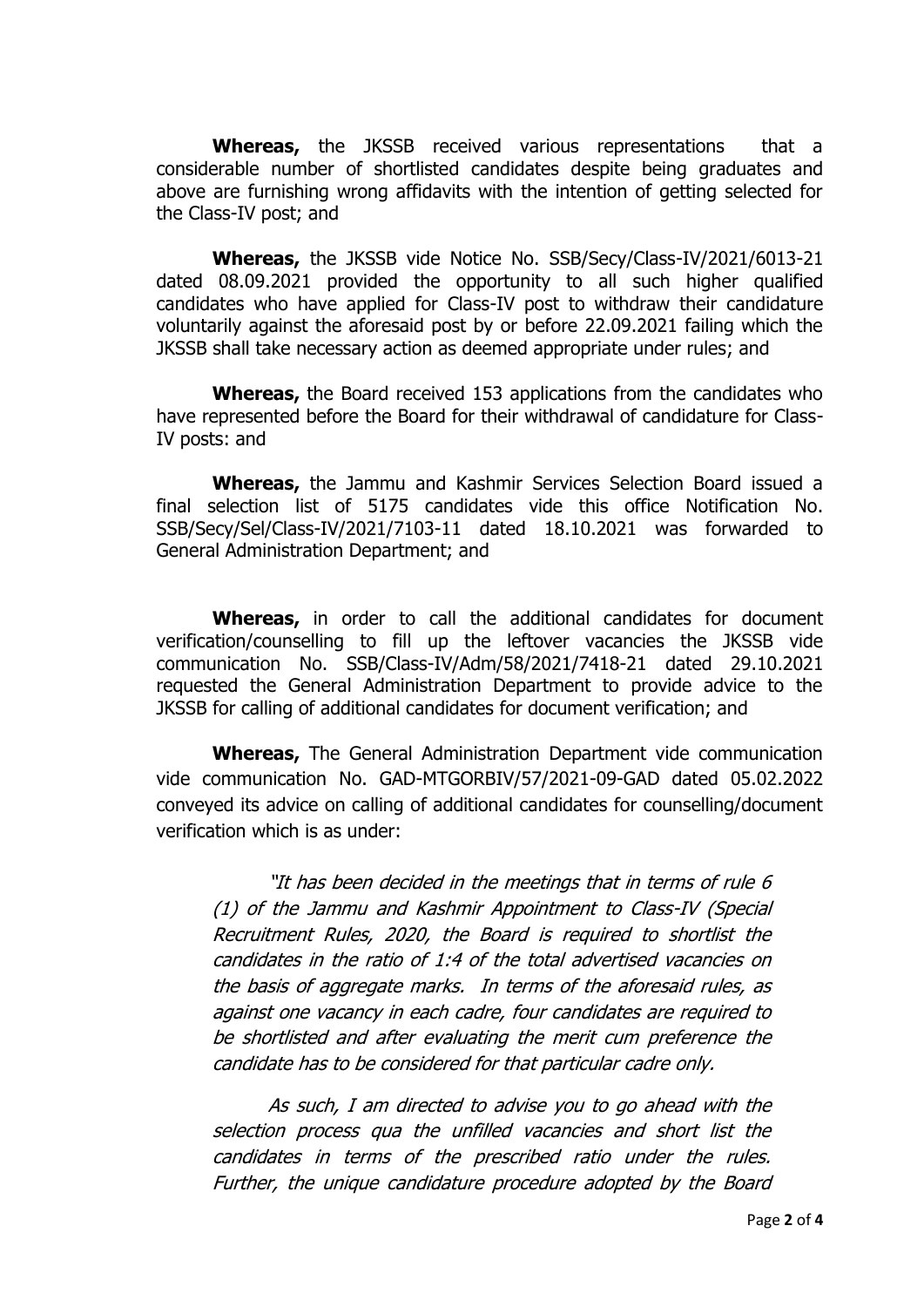**Whereas,** the JKSSB received various representations that a considerable number of shortlisted candidates despite being graduates and above are furnishing wrong affidavits with the intention of getting selected for the Class-IV post; and

**Whereas,** the JKSSB vide Notice No. SSB/Secy/Class-IV/2021/6013-21 dated 08.09.2021 provided the opportunity to all such higher qualified candidates who have applied for Class-IV post to withdraw their candidature voluntarily against the aforesaid post by or before 22.09.2021 failing which the JKSSB shall take necessary action as deemed appropriate under rules; and

**Whereas,** the Board received 153 applications from the candidates who have represented before the Board for their withdrawal of candidature for Class-IV posts: and

**Whereas,** the Jammu and Kashmir Services Selection Board issued a final selection list of 5175 candidates vide this office Notification No. SSB/Secy/Sel/Class-IV/2021/7103-11 dated 18.10.2021 was forwarded to General Administration Department; and

**Whereas,** in order to call the additional candidates for document verification/counselling to fill up the leftover vacancies the JKSSB vide communication No. SSB/Class-IV/Adm/58/2021/7418-21 dated 29.10.2021 requested the General Administration Department to provide advice to the JKSSB for calling of additional candidates for document verification; and

**Whereas,** The General Administration Department vide communication vide communication No. GAD-MTGORBIV/57/2021-09-GAD dated 05.02.2022 conveyed its advice on calling of additional candidates for counselling/document verification which is as under:

"It has been decided in the meetings that in terms of rule 6 (1) of the Jammu and Kashmir Appointment to Class-IV (Special Recruitment Rules, 2020, the Board is required to shortlist the candidates in the ratio of 1:4 of the total advertised vacancies on the basis of aggregate marks. In terms of the aforesaid rules, as against one vacancy in each cadre, four candidates are required to be shortlisted and after evaluating the merit cum preference the candidate has to be considered for that particular cadre only.

As such, I am directed to advise you to go ahead with the selection process qua the unfilled vacancies and short list the candidates in terms of the prescribed ratio under the rules. Further, the unique candidature procedure adopted by the Board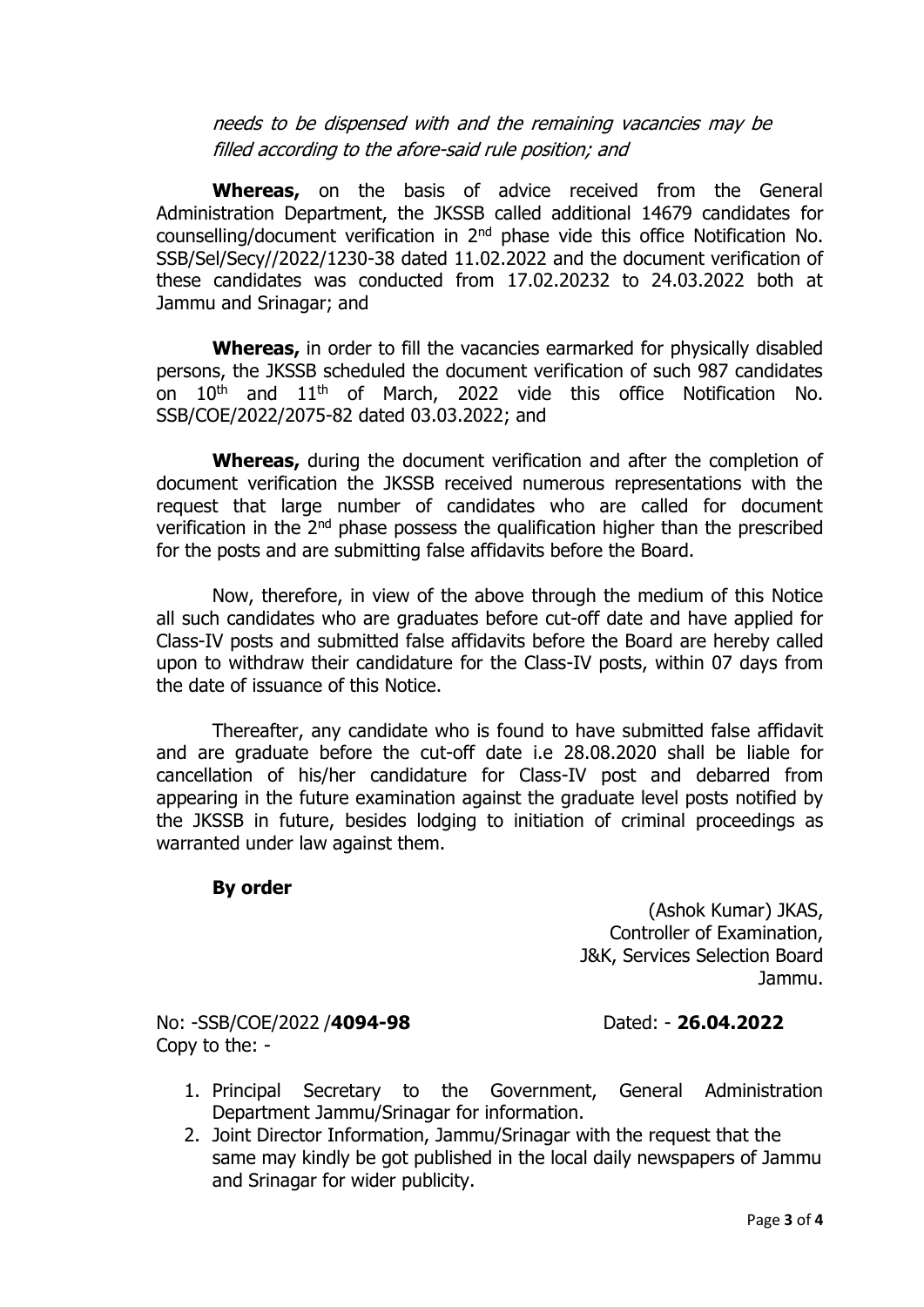needs to be dispensed with and the remaining vacancies may be filled according to the afore-said rule position; and

**Whereas,** on the basis of advice received from the General Administration Department, the JKSSB called additional 14679 candidates for counselling/document verification in  $2<sup>nd</sup>$  phase vide this office Notification No. SSB/Sel/Secy//2022/1230-38 dated 11.02.2022 and the document verification of these candidates was conducted from 17.02.20232 to 24.03.2022 both at Jammu and Srinagar; and

**Whereas,** in order to fill the vacancies earmarked for physically disabled persons, the JKSSB scheduled the document verification of such 987 candidates on 10<sup>th</sup> and 11<sup>th</sup> of March, 2022 vide this office Notification No. SSB/COE/2022/2075-82 dated 03.03.2022; and

**Whereas,** during the document verification and after the completion of document verification the JKSSB received numerous representations with the request that large number of candidates who are called for document verification in the 2nd phase possess the qualification higher than the prescribed for the posts and are submitting false affidavits before the Board.

Now, therefore, in view of the above through the medium of this Notice all such candidates who are graduates before cut-off date and have applied for Class-IV posts and submitted false affidavits before the Board are hereby called upon to withdraw their candidature for the Class-IV posts, within 07 days from the date of issuance of this Notice.

Thereafter, any candidate who is found to have submitted false affidavit and are graduate before the cut-off date i.e 28.08.2020 shall be liable for cancellation of his/her candidature for Class-IV post and debarred from appearing in the future examination against the graduate level posts notified by the JKSSB in future, besides lodging to initiation of criminal proceedings as warranted under law against them.

## **By order**

(Ashok Kumar) JKAS, Controller of Examination, J&K, Services Selection Board Jammu.

No: -SSB/COE/2022 /**4094-98** Dated: - **26.04.2022** Copy to the: -

- 1. Principal Secretary to the Government, General Administration Department Jammu/Srinagar for information.
- 2. Joint Director Information, Jammu/Srinagar with the request that the same may kindly be got published in the local daily newspapers of Jammu and Srinagar for wider publicity.